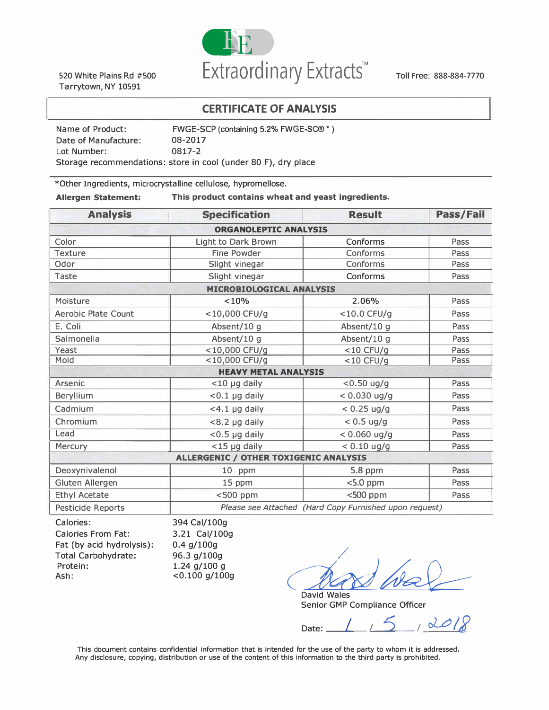

520 White Plains Rd #500 Tarrytown, NY 10591

Toll Free: 888-884-7770

### **CERTIFICATE OF ANALYSIS**

| Name of Product:                                               | FWGE-SCP (containing 5.2% FWGE-SC® *) |  |
|----------------------------------------------------------------|---------------------------------------|--|
| Date of Manufacture:                                           | 08-2017                               |  |
| Lot Number:                                                    | 0817-2                                |  |
| Storage recommendations: store in cool (under 80 F), dry place |                                       |  |

\*Other Ingredients, microcrystalline cellulose, hypromellose.

**Allergen Statement: This product contains wheat and yeast ingredients.** 

| <b>Analysis</b>              | <b>Specification</b>                                   | <b>Result</b>  | Pass/Fail |  |
|------------------------------|--------------------------------------------------------|----------------|-----------|--|
| <b>ORGANOLEPTIC ANALYSIS</b> |                                                        |                |           |  |
| Color                        | Light to Dark Brown                                    | Conforms       | Pass      |  |
| <b>Texture</b>               | <b>Fine Powder</b>                                     | Conforms       | Pass      |  |
| Odor                         | Slight vinegar                                         | Conforms       | Pass      |  |
| Taste                        | Slight vinegar                                         | Conforms       | Pass      |  |
|                              | <b>MICROBIOLOGICAL ANALYSIS</b>                        |                |           |  |
| Moisture                     | < 10%                                                  | 2.06%          | Pass      |  |
| <b>Aerobic Plate Count</b>   | <10,000 CFU/g                                          | <10.0 CFU/g    | Pass      |  |
| E. Coli                      | Absent/10 g                                            | Absent/10 g    | Pass      |  |
| Salmonella                   | Absent/10 g                                            | Absent/10 g    | Pass      |  |
| Yeast                        | <10,000 CFU/g                                          | $<$ 10 CFU/g   | Pass      |  |
| Mold                         | <10,000 CFU/g                                          | $<$ 10 CFU/g   | Pass      |  |
| <b>HEAVY METAL ANALYSIS</b>  |                                                        |                |           |  |
| Arsenic                      | $<$ 10 µg daily                                        | $< 0.50$ ug/g  | Pass      |  |
| <b>Beryllium</b>             | $< 0.1$ µg daily                                       | $< 0.030$ ug/g | Pass      |  |
| Cadmium                      | <4.1 µg daily                                          | $< 0.25$ ug/g  | Pass      |  |
| Chromium                     | <8.2 µg daily                                          | $< 0.5$ ug/g   | Pass      |  |
| Lead                         | $<$ 0.5 $\mu$ g daily                                  | $< 0.060$ ug/g | Pass      |  |
| Mercury                      | <15 µg daily                                           | $< 0.10$ ug/g  | Pass      |  |
|                              | <b>ALLERGENIC / OTHER TOXIGENIC ANALYSIS</b>           |                |           |  |
| Deoxynivalenol               | 10 ppm                                                 | 5.8 ppm        | Pass      |  |
| <b>Gluten Allergen</b>       | 15 ppm                                                 | $<$ 5.0 ppm    | Pass      |  |
| <b>Ethyl Acetate</b>         | $<$ 500 ppm                                            | <500 ppm       | Pass      |  |
| Pesticide Reports            | Please see Attached (Hard Copy Furnished upon request) |                |           |  |

| 394 Cal/100g     |
|------------------|
| 3.21 Cal/100g    |
| $0.4$ g/100g     |
| 96.3 g/100g      |
| 1.24 $g/100 g$   |
| $< 0.100$ g/100g |
|                  |

 $\triangle \cong$ 

David Wales Senior GMP Compliance Officer

Date: <u>1</u> 5  $10008$ 

This document contains confidential information that is intended for the use of the party to whom it is addressed. Any disclosure, copying, distribution or use of the content of this information to the third party is prohibited.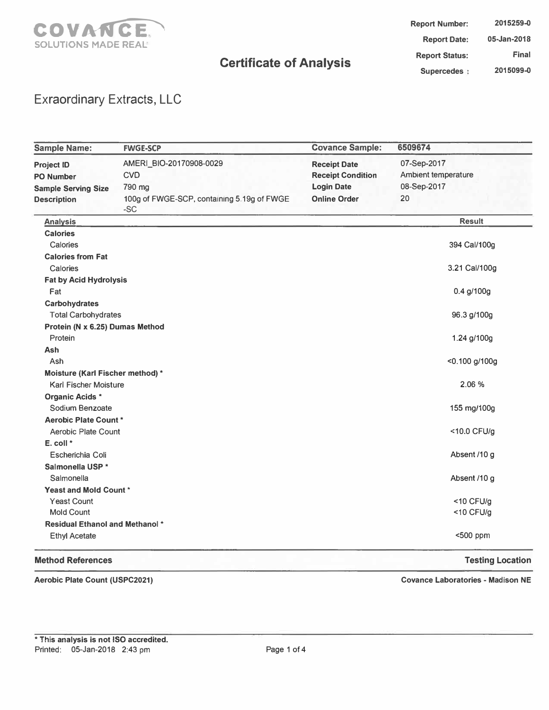

**Report Number: Report Date: Report Status: Supercedes 2015259-0 05-Jan-2018 Final 2015099-0** 

### Exraordinary Extracts, LLC

| <b>Sample Name:</b>                    | <b>FWGE-SCP</b>                                     | <b>Covance Sample:</b>   | 6509674                 |
|----------------------------------------|-----------------------------------------------------|--------------------------|-------------------------|
| <b>Project ID</b>                      | AMERI_BIO-20170908-0029                             | <b>Receipt Date</b>      | 07-Sep-2017             |
| <b>PO Number</b>                       | <b>CVD</b>                                          | <b>Receipt Condition</b> | Ambient temperature     |
| <b>Sample Serving Size</b>             | 790 mg                                              | <b>Login Date</b>        | 08-Sep-2017             |
| <b>Description</b>                     | 100g of FWGE-SCP, containing 5.19g of FWGE<br>$-SC$ | <b>Online Order</b>      | 20                      |
| <b>Analysis</b>                        |                                                     |                          | <b>Result</b>           |
| <b>Calories</b>                        |                                                     |                          |                         |
| Calories                               |                                                     |                          | 394 Cal/100g            |
| <b>Calories from Fat</b>               |                                                     |                          |                         |
| Calories                               |                                                     |                          | 3.21 Cal/100g           |
| <b>Fat by Acid Hydrolysis</b>          |                                                     |                          |                         |
| Fat                                    |                                                     |                          | 0.4 g/100g              |
| <b>Carbohydrates</b>                   |                                                     |                          |                         |
| <b>Total Carbohydrates</b>             |                                                     |                          | 96.3 g/100g             |
| Protein (N x 6.25) Dumas Method        |                                                     |                          |                         |
| Protein                                |                                                     |                          | 1.24 g/100g             |
| Ash                                    |                                                     |                          |                         |
| Ash                                    |                                                     |                          | <0.100 g/100g           |
| Moisture (Karl Fischer method) *       |                                                     |                          |                         |
| <b>Karl Fischer Moisture</b>           |                                                     |                          | 2.06 %                  |
| <b>Organic Acids *</b>                 |                                                     |                          |                         |
| Sodium Benzoate                        |                                                     |                          | 155 mg/100g             |
| <b>Aerobic Plate Count *</b>           |                                                     |                          |                         |
| Aerobic Plate Count                    |                                                     |                          | <10.0 CFU/g             |
| E. coll *                              |                                                     |                          |                         |
| Escherichia Coli                       |                                                     |                          | Absent /10 g            |
| Salmonella USP*                        |                                                     |                          |                         |
| Salmonella                             |                                                     |                          | Absent /10 g            |
| <b>Yeast and Mold Count *</b>          |                                                     |                          |                         |
| <b>Yeast Count</b>                     |                                                     |                          | <10 CFU/g               |
| <b>Mold Count</b>                      |                                                     |                          | <10 CFU/g               |
| <b>Residual Ethanol and Methanol *</b> |                                                     |                          |                         |
| <b>Ethyl Acetate</b>                   |                                                     |                          | <500 ppm                |
| <b>Method References</b>               |                                                     |                          | <b>Testing Location</b> |

#### **Aerobic Plate Count (USPC2021)**

**Covance Laboratories - Madison NE**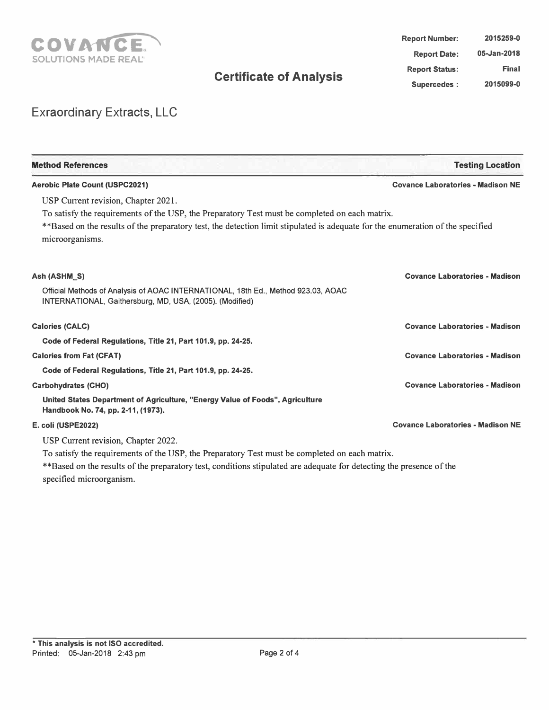

| 2015259-0    | <b>Report Number:</b> |
|--------------|-----------------------|
| 05-Jan-2018  | <b>Report Date:</b>   |
| <b>Final</b> | <b>Report Status:</b> |
| 2015099-0    | <b>Supercedes:</b>    |

# Exraordinary Extracts, LLC

| <b>Method References</b>                                                                                                                           | <b>Testing Location</b>                  |
|----------------------------------------------------------------------------------------------------------------------------------------------------|------------------------------------------|
| <b>Aerobic Plate Count (USPC2021)</b>                                                                                                              | <b>Covance Laboratories - Madison NE</b> |
| USP Current revision, Chapter 2021.                                                                                                                |                                          |
| To satisfy the requirements of the USP, the Preparatory Test must be completed on each matrix.                                                     |                                          |
| **Based on the results of the preparatory test, the detection limit stipulated is adequate for the enumeration of the specified<br>microorganisms. |                                          |
| Ash (ASHM S)                                                                                                                                       | <b>Covance Laboratories - Madison</b>    |
| Official Methods of Analysis of AOAC INTERNATIONAL, 18th Ed., Method 923.03, AOAC<br>INTERNATIONAL, Gaithersburg, MD, USA, (2005). (Modified)      |                                          |
| <b>Calories (CALC)</b>                                                                                                                             | <b>Covance Laboratories - Madison</b>    |
| Code of Federal Regulations, Title 21, Part 101.9, pp. 24-25.                                                                                      |                                          |
| <b>Calories from Fat (CFAT)</b>                                                                                                                    | <b>Covance Laboratories - Madison</b>    |
| Code of Federal Regulations, Title 21, Part 101.9, pp. 24-25.                                                                                      |                                          |
| <b>Carbohydrates (CHO)</b>                                                                                                                         | <b>Covance Laboratories - Madison</b>    |
| United States Department of Agriculture, "Energy Value of Foods", Agriculture<br>Handbook No. 74, pp. 2-11, (1973).                                |                                          |
| E. coli (USPE2022)                                                                                                                                 | <b>Covance Laboratories - Madison NE</b> |
| USP Current revision, Chapter 2022.                                                                                                                |                                          |
| To satisfy the requirements of the USP, the Preparatory Test must be completed on each matrix.                                                     |                                          |
| **Based on the results of the preparatory test, conditions stipulated are adequate for detecting the presence of the                               |                                          |

specified microorganism.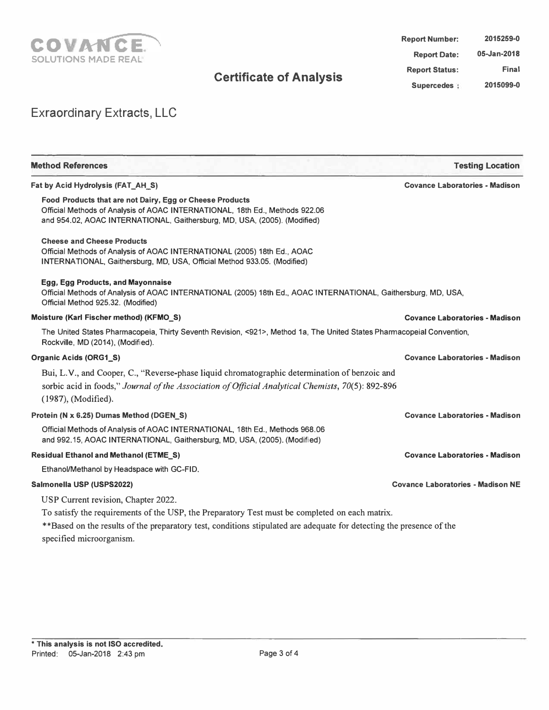

| 2015259-0   | <b>Report Number:</b> |
|-------------|-----------------------|
| 05-Jan-2018 | <b>Report Date:</b>   |
| Final       | <b>Report Status:</b> |
| 2015099-0   | Supercedes ;          |

# Exraordinary Extracts, LLC

| <b>Method References</b>                                                                                                                                                                                                                           | <b>Testing Location</b>                  |
|----------------------------------------------------------------------------------------------------------------------------------------------------------------------------------------------------------------------------------------------------|------------------------------------------|
| Fat by Acid Hydrolysis (FAT AH S)                                                                                                                                                                                                                  | <b>Covance Laboratories - Madison</b>    |
| Food Products that are not Dairy, Egg or Cheese Products<br>Official Methods of Analysis of AOAC INTERNATIONAL, 18th Ed., Methods 922.06<br>and 954.02, AOAC INTERNATIONAL, Gaithersburg, MD, USA, (2005). (Modified)                              |                                          |
| <b>Cheese and Cheese Products</b><br>Official Methods of Analysis of AOAC INTERNATIONAL (2005) 18th Ed., AOAC<br>INTERNATIONAL, Gaithersburg, MD, USA, Official Method 933.05. (Modified)                                                          |                                          |
| Egg, Egg Products, and Mayonnaise<br>Official Methods of Analysis of AOAC INTERNATIONAL (2005) 18th Ed., AOAC INTERNATIONAL, Gaithersburg, MD, USA,<br>Official Method 925.32. (Modified)                                                          |                                          |
| Moisture (Karl Fischer method) (KFMO_S)                                                                                                                                                                                                            | <b>Covance Laboratories - Madison</b>    |
| The United States Pharmacopeia, Thirty Seventh Revision, <921>, Method 1a, The United States Pharmacopeial Convention,<br>Rockville, MD (2014), (Modified).                                                                                        |                                          |
| Organic Acids (ORG1_S)                                                                                                                                                                                                                             | <b>Covance Laboratories - Madison</b>    |
| Bui, L.V., and Cooper, C., "Reverse-phase liquid chromatographic determination of benzoic and                                                                                                                                                      |                                          |
| sorbic acid in foods," Journal of the Association of Official Analytical Chemists, 70(5): 892-896<br>(1987), (Modified).                                                                                                                           |                                          |
| Protein (N x 6.25) Dumas Method (DGEN S)                                                                                                                                                                                                           | <b>Covance Laboratories - Madison</b>    |
| Official Methods of Analysis of AOAC INTERNATIONAL, 18th Ed., Methods 968.06<br>and 992.15, AOAC INTERNATIONAL, Gaithersburg, MD, USA, (2005). (Modified)                                                                                          |                                          |
| <b>Residual Ethanol and Methanol (ETME_S)</b>                                                                                                                                                                                                      | <b>Covance Laboratories - Madison</b>    |
| Ethanol/Methanol by Headspace with GC-FID.                                                                                                                                                                                                         |                                          |
| Salmonella USP (USPS2022)                                                                                                                                                                                                                          | <b>Covance Laboratories - Madison NE</b> |
| USP Current revision, Chapter 2022.                                                                                                                                                                                                                |                                          |
| To satisfy the requirements of the USP, the Preparatory Test must be completed on each matrix.<br>**Based on the results of the preparatory test, conditions stipulated are adequate for detecting the presence of the<br>specified microorganism. |                                          |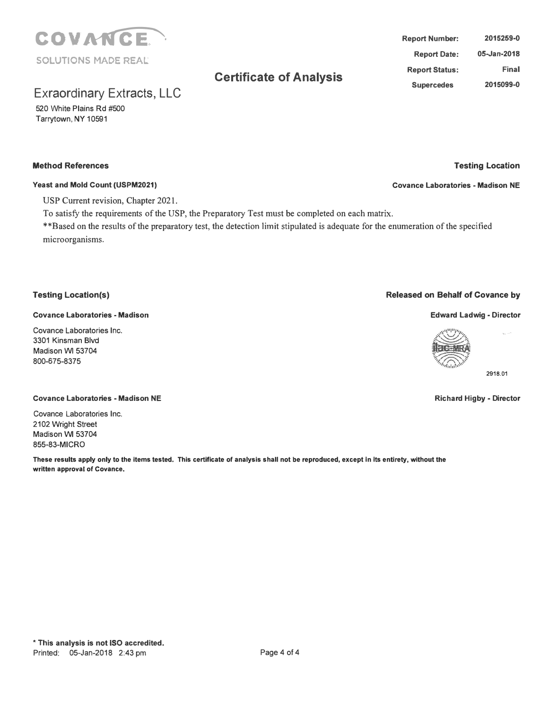

# Exraordinary Extracts, LLC

520 White Plains Rd #500 Tarrytown, NY 10591

#### **Method References**

#### **Yeast and Mold Count (USPM2021)**

USP Current revision, Chapter 2021.

To satisfy the requirements of the USP, the Preparatory Test must be completed on each matrix.

\*\*Based on the results of the preparatory test, the detection limit stipulated is adequate for the enumeration of the specified microorganisms.

### **Testing Location(s)**

#### **Covance Laboratories - Madison**

Covance Laboratories Inc. 3301 Kinsman Blvd Madison W1 53704 800-675-8375

#### **Covance Laboratories - Madison NE**

Covance Laboratories Inc. 2102 Wright Street Madison W1 53704 855-83-MICRO

**These results apply only to the items tested. This certificate of analysis shall not be reproduced, except In Its entirety, without the written approval of Covance.** 



**2918.01** 

,.,. .. ,.

#### **Richard Higby - Director**

**Report Number: Report Date: Report Status: Supercedes 2015259-0 05-Jan-2018 Final 2015099-0** 



**Testing Location** 

**Covance Laboratories - Madison NE**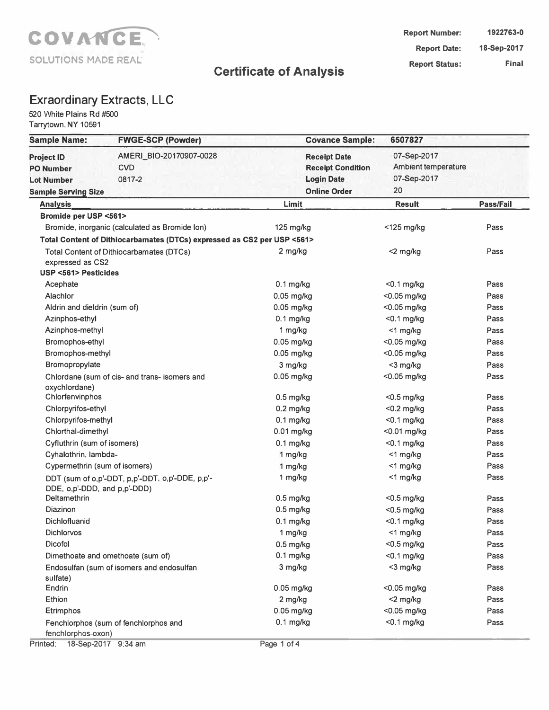

### Exraordinary Extracts, LLC

520 White Plains Rd #500 Tarrytown, NY 10591

| <b>Sample Name:</b>                                        | <b>FWGE-SCP (Powder)</b>                                                |              | <b>Covance Sample:</b>                                               | 6507827                                           |           |
|------------------------------------------------------------|-------------------------------------------------------------------------|--------------|----------------------------------------------------------------------|---------------------------------------------------|-----------|
| <b>Project ID</b><br><b>PO Number</b><br><b>Lot Number</b> | AMERI_BIO-20170907-0028<br><b>CVD</b><br>0817-2                         |              | <b>Receipt Date</b><br><b>Receipt Condition</b><br><b>Login Date</b> | 07-Sep-2017<br>Ambient temperature<br>07-Sep-2017 |           |
| <b>Sample Serving Size</b>                                 |                                                                         |              | <b>Online Order</b>                                                  | 20                                                |           |
| <b>Analysis</b>                                            |                                                                         | Limit        |                                                                      | <b>Result</b>                                     | Pass/Fail |
| <b>Bromide per USP &lt;561&gt;</b>                         |                                                                         |              |                                                                      |                                                   |           |
|                                                            | Bromide, inorganic (calculated as Bromide Ion)                          | 125 mg/kg    |                                                                      | $<$ 125 mg/kg                                     | Pass      |
|                                                            | Total Content of Dithiocarbamates (DTCs) expressed as CS2 per USP <561> |              |                                                                      |                                                   |           |
| expressed as CS2                                           | <b>Total Content of Dithiocarbamates (DTCs)</b>                         | 2 mg/kg      |                                                                      | <2 mg/kg                                          | Pass      |
| <b>USP &lt;561&gt; Pesticides</b>                          |                                                                         |              |                                                                      |                                                   |           |
| Acephate                                                   |                                                                         | $0.1$ mg/kg  |                                                                      | $<$ 0.1 mg/kg                                     | Pass      |
| Alachlor                                                   |                                                                         | 0.05 mg/kg   |                                                                      | <0.05 mg/kg                                       | Pass      |
| Aldrin and dieldrin (sum of)                               |                                                                         | 0.05 mg/kg   |                                                                      | <0.05 mg/kg                                       | Pass      |
| Azinphos-ethyl                                             |                                                                         | $0.1$ mg/kg  |                                                                      | $< 0.1$ mg/kg                                     | Pass      |
| Azinphos-methyl                                            |                                                                         | 1 mg/kg      |                                                                      | <1 mg/kg                                          | Pass      |
| Bromophos-ethyl                                            |                                                                         | $0.05$ mg/kg |                                                                      | <0.05 mg/kg                                       | Pass      |
| Bromophos-methyl                                           |                                                                         | 0.05 mg/kg   |                                                                      | <0.05 mg/kg                                       | Pass      |
| Bromopropylate                                             |                                                                         | 3 mg/kg      |                                                                      | <3 mg/kg                                          | Pass      |
| oxychlordane)                                              | Chlordane (sum of cis- and trans- isomers and                           | $0.05$ mg/kg |                                                                      | $<$ 0.05 mg/kg                                    | Pass      |
| Chlorfenvinphos                                            |                                                                         | $0.5$ mg/kg  |                                                                      | $<$ 0.5 mg/kg                                     | Pass      |
| Chlorpyrifos-ethyl                                         |                                                                         | $0.2$ mg/kg  |                                                                      | <0.2 mg/kg                                        | Pass      |
| Chlorpyrifos-methyl                                        |                                                                         | $0.1$ mg/kg  |                                                                      | $<$ 0.1 mg/kg                                     | Pass      |
| Chlorthal-dimethyl                                         |                                                                         | 0.01 mg/kg   |                                                                      | <0.01 mg/kg                                       | Pass      |
| Cyfluthrin (sum of isomers)                                |                                                                         | $0.1$ mg/kg  |                                                                      | $<$ 0.1 mg/kg                                     | Pass      |
| Cyhalothrin, lambda-                                       |                                                                         | 1 mg/kg      |                                                                      | <1 mg/kg                                          | Pass      |
| Cypermethrin (sum of isomers)                              |                                                                         | 1 mg/kg      |                                                                      | <1 mg/kg                                          | Pass      |
| DDE, o,p'-DDD, and p,p'-DDD)                               | DDT (sum of o,p'-DDT, p,p'-DDT, o,p'-DDE, p,p'-                         | 1 mg/kg      |                                                                      | $<$ 1 mg/kg                                       | Pass      |
| Deltamethrin                                               |                                                                         | $0.5$ mg/kg  |                                                                      | $<$ 0.5 mg/kg                                     | Pass      |
| Diazinon                                                   |                                                                         | $0.5$ mg/kg  |                                                                      | $<$ 0.5 mg/kg                                     | Pass      |
| Dichlofluanid                                              |                                                                         | $0.1$ mg/kg  |                                                                      | $<$ 0.1 mg/kg                                     | Pass      |
| Dichlorvos                                                 |                                                                         | 1 mg/kg      |                                                                      | <1 mg/kg                                          | Pass      |
| Dicofol                                                    |                                                                         | $0.5$ mg/kg  |                                                                      | $<$ 0.5 mg/kg                                     | Pass      |
| Dimethoate and omethoate (sum of)                          |                                                                         | $0.1$ mg/kg  |                                                                      | <0.1 mg/kg                                        | Pass      |
| sulfate)                                                   | Endosulfan (sum of isomers and endosulfan                               | 3 mg/kg      |                                                                      | <3 mg/kg                                          | Pass      |
| Endrin                                                     |                                                                         | $0.05$ mg/kg |                                                                      | <0.05 mg/kg                                       | Pass      |
| Ethion                                                     |                                                                         | 2 mg/kg      |                                                                      | <2 mg/kg                                          | Pass      |
| Etrimphos                                                  |                                                                         | 0.05 mg/kg   |                                                                      | <0.05 mg/kg                                       | Pass      |
| fenchlorphos-oxon)                                         | Fenchlorphos (sum of fenchlorphos and                                   | $0.1$ mg/kg  |                                                                      | $<$ 0.1 mg/kg                                     | Pass      |

Printed: 18-Sep-2017 9:34 am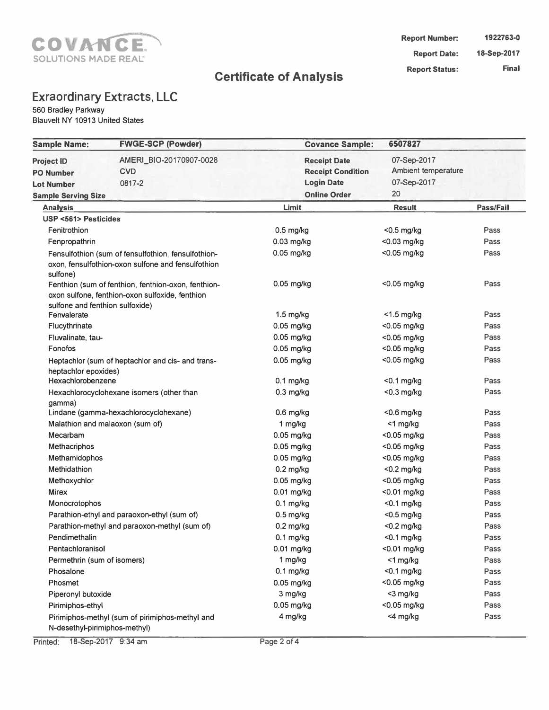

# **Exraordinary Extracts, LLC**

560 Bradley Parkway Blauvelt NY 10913 United States

| <b>Sample Name:</b>                                        | <b>FWGE-SCP (Powder)</b>                                                                                  | <b>Covance Sample:</b>                                                                      | 6507827                                                 |              |
|------------------------------------------------------------|-----------------------------------------------------------------------------------------------------------|---------------------------------------------------------------------------------------------|---------------------------------------------------------|--------------|
| <b>Project ID</b><br><b>PO Number</b><br><b>Lot Number</b> | AMERI_BIO-20170907-0028<br><b>CVD</b><br>0817-2                                                           | <b>Receipt Date</b><br><b>Receipt Condition</b><br><b>Login Date</b><br><b>Online Order</b> | 07-Sep-2017<br>Ambient temperature<br>07-Sep-2017<br>20 |              |
| <b>Sample Serving Size</b>                                 |                                                                                                           |                                                                                             |                                                         |              |
| <b>Analysis</b>                                            |                                                                                                           | Limit                                                                                       | <b>Result</b>                                           | Pass/Fail    |
| <b>USP &lt;561&gt; Pesticides</b>                          |                                                                                                           |                                                                                             |                                                         |              |
| Fenitrothion                                               |                                                                                                           | $0.5$ mg/kg                                                                                 | <0.5 mg/kg                                              | Pass<br>Pass |
| Fenpropathrin                                              |                                                                                                           | $0.03$ mg/kg                                                                                | <0.03 mg/kg                                             | Pass         |
| sulfone)                                                   | Fensulfothion (sum of fensulfothion, fensulfothion-<br>oxon, fensulfothion-oxon sulfone and fensulfothion | $0.05$ mg/kg                                                                                | <0.05 mg/kg                                             |              |
|                                                            | Fenthion (sum of fenthion, fenthion-oxon, fenthion-<br>oxon sulfone, fenthion-oxon sulfoxide, fenthion    | $0.05$ mg/kg                                                                                | <0.05 mg/kg                                             | Pass         |
| sulfone and fenthion sulfoxide)<br>Fenvalerate             |                                                                                                           | $1.5$ mg/kg                                                                                 | $<$ 1.5 mg/kg                                           | Pass         |
| Flucythrinate                                              |                                                                                                           | $0.05$ mg/kg                                                                                | <0.05 mg/kg                                             | Pass         |
| Fluvalinate, tau-                                          |                                                                                                           | $0.05$ mg/kg                                                                                | <0.05 mg/kg                                             | Pass         |
| Fonofos                                                    |                                                                                                           | $0.05$ mg/kg                                                                                | <0.05 mg/kg                                             | Pass         |
|                                                            | Heptachlor (sum of heptachlor and cis- and trans-                                                         | $0.05$ mg/kg                                                                                | <0.05 mg/kg                                             | Pass         |
| heptachlor epoxides)                                       |                                                                                                           |                                                                                             |                                                         |              |
| Hexachlorobenzene                                          |                                                                                                           | $0.1$ mg/kg                                                                                 | $0.1$ mg/kg                                             | Pass         |
| gamma)                                                     | Hexachlorocyclohexane isomers (other than                                                                 | $0.3$ mg/kg                                                                                 | $<$ 0.3 mg/kg                                           | Pass         |
|                                                            | Lindane (gamma-hexachlorocyclohexane)                                                                     | $0.6$ mg/kg                                                                                 | $<$ 0.6 mg/kg                                           | Pass         |
|                                                            | Malathion and malaoxon (sum of)                                                                           | 1 mg/kg                                                                                     | <1 mg/kg                                                | Pass         |
| Mecarbam                                                   |                                                                                                           | 0.05 mg/kg                                                                                  | <0.05 mg/kg                                             | Pass         |
| Methacriphos                                               |                                                                                                           | $0.05$ mg/kg                                                                                | <0.05 mg/kg                                             | Pass         |
| Methamidophos                                              |                                                                                                           | 0.05 mg/kg                                                                                  | <0.05 mg/kg                                             | Pass         |
| Methidathion                                               |                                                                                                           | $0.2$ mg/kg                                                                                 | $<$ 0.2 mg/kg                                           | Pass         |
| Methoxychlor                                               |                                                                                                           | $0.05$ mg/kg                                                                                | <0.05 mg/kg                                             | Pass         |
| <b>Mirex</b>                                               |                                                                                                           | $0.01$ mg/kg                                                                                | <0.01 mg/kg                                             | Pass         |
| Monocrotophos                                              |                                                                                                           | $0.1$ mg/kg                                                                                 | $<$ 0.1 mg/kg                                           | Pass         |
|                                                            | Parathion-ethyl and paraoxon-ethyl (sum of)                                                               | $0.5$ mg/kg                                                                                 | $<$ 0.5 mg/kg                                           | Pass         |
|                                                            | Parathion-methyl and paraoxon-methyl (sum of)                                                             | $0.2$ mg/kg                                                                                 | $<$ 0.2 mg/kg                                           | Pass         |
| Pendimethalin                                              |                                                                                                           | $0.1$ mg/kg                                                                                 | $<$ 0.1 mg/kg                                           | Pass         |
| Pentachloranisol                                           |                                                                                                           | $0.01$ mg/kg                                                                                | <0.01 mg/kg                                             | Pass         |
| Permethrin (sum of isomers)                                |                                                                                                           | 1 mg/kg                                                                                     | <1 mg/kg                                                | Pass         |
| Phosalone                                                  |                                                                                                           | $0.1$ mg/kg                                                                                 | $<$ 0.1 mg/kg                                           | Pass         |
| Phosmet                                                    |                                                                                                           | 0.05 mg/kg                                                                                  | <0.05 mg/kg                                             | Pass         |
| Piperonyl butoxide                                         |                                                                                                           | 3 mg/kg                                                                                     | <3 mg/kg                                                | Pass         |
| Pirimiphos-ethyl                                           |                                                                                                           | 0.05 mg/kg                                                                                  | <0.05 mg/kg                                             | Pass         |
| N-desethyl-pirimiphos-methyl)                              | Pirimiphos-methyl (sum of pirimiphos-methyl and                                                           | 4 mg/kg                                                                                     | <4 mg/kg                                                | Pass         |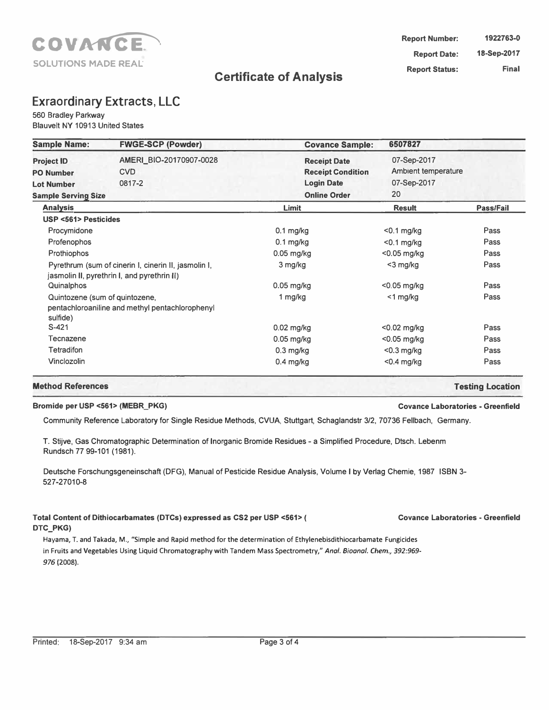

### **Exraordinary Extracts, LLC**

560 Bradley Parkway

Blauvelt NY 10913 United States

| <b>Sample Name:</b>                                                                      | <b>FWGE-SCP (Powder)</b>                                                                            | <b>Covance Sample:</b>                                                                      | 6507827                                                        |           |
|------------------------------------------------------------------------------------------|-----------------------------------------------------------------------------------------------------|---------------------------------------------------------------------------------------------|----------------------------------------------------------------|-----------|
| <b>Project ID</b><br><b>PO Number</b><br><b>Lot Number</b><br><b>Sample Serving Size</b> | AMERI_BIO-20170907-0028<br><b>CVD</b><br>0817-2                                                     | <b>Receipt Date</b><br><b>Receipt Condition</b><br><b>Login Date</b><br><b>Online Order</b> | 07-Sep-2017<br><b>Ambient temperature</b><br>07-Sep-2017<br>20 |           |
| <b>Analysis</b>                                                                          |                                                                                                     | Limit                                                                                       | <b>Result</b>                                                  | Pass/Fail |
| <b>USP &lt;561&gt; Pesticides</b>                                                        |                                                                                                     |                                                                                             |                                                                |           |
| Procymidone                                                                              |                                                                                                     | $0.1$ mg/kg                                                                                 | $<$ 0.1 mg/kg                                                  | Pass      |
| Profenophos                                                                              |                                                                                                     | $0.1$ mg/kg                                                                                 | $<$ 0.1 mg/kg                                                  | Pass      |
| Prothiophos                                                                              |                                                                                                     | $0.05$ mg/kg                                                                                | $<$ 0.05 mg/kg                                                 | Pass      |
|                                                                                          | Pyrethrum (sum of cinerin I, cinerin II, jasmolin I,<br>jasmolin II, pyrethrin I, and pyrethrin II) | 3 mg/kg                                                                                     | $<$ 3 mg/kg                                                    | Pass      |
| Quinalphos                                                                               |                                                                                                     | 0.05 mg/kg                                                                                  | $<$ 0.05 mg/kg                                                 | Pass      |
| Quintozene (sum of quintozene,<br>sulfide)                                               | pentachloroaniline and methyl pentachlorophenyl                                                     | 1 mg/kg                                                                                     | $<$ 1 mg/kg                                                    | Pass      |
| $S-421$                                                                                  |                                                                                                     | 0.02 mg/kg                                                                                  | $<$ 0.02 mg/kg                                                 | Pass      |
| Tecnazene                                                                                |                                                                                                     | $0.05$ mg/kg                                                                                | $<$ 0.05 mg/kg                                                 | Pass      |
| <b>Tetradifon</b>                                                                        |                                                                                                     | $0.3$ mg/kg                                                                                 | $<$ 0.3 mg/kg                                                  | Pass      |
| Vinclozolin                                                                              |                                                                                                     | $0.4$ mg/kg                                                                                 | $<$ 0.4 mg/kg                                                  | Pass      |

#### **Bromide per USP <561> (MEBR\_PKG) Covance Laboratories - Greenfield**

Community Reference Laboratory for Single Residue Methods, CVUA, Stuttgart, Schaglandstr 3/2, 70736 Fellbach, Germany.

T. Stijve, Gas Chromatographic Determination of Inorganic Bromide Residues - a Simplified Procedure, Dtsch. Lebenm Rundsch 77 99-101 (1981).

Deutsche Forschungsgeneinschaft (DFG), Manual of Pesticide Residue Analysis, Volume I by Verlag Chemie, 1987 ISBN 3- 527-27010-8

#### **Total Content of Dithiocarbamates (DTCs) expressed as CS2 per USP <561> ( DTC\_PKG)**

Hayama, T. and Takada, M., "Simple and Rapid method for the determination of Ethylenebisdithiocarbamate Fungicides in Fruits and Vegetables Using Liquid Chromatography with Tandem Mass Spectrometry," *Anal. Bioanal. Chem., 392:969- 976* (2008).

**Covance Laboratories - Greenfield** 

**Method References Testing Location**